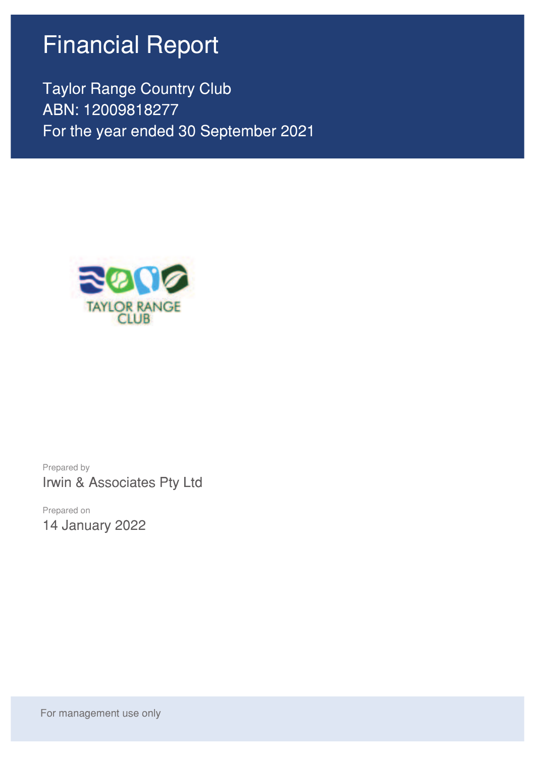# Financial Report

Taylor Range Country Club ABN: 12009818277 For the year ended 30 September 2021



Prepared by Irwin & Associates Pty Ltd

Prepared on 14 January 2022

For management use only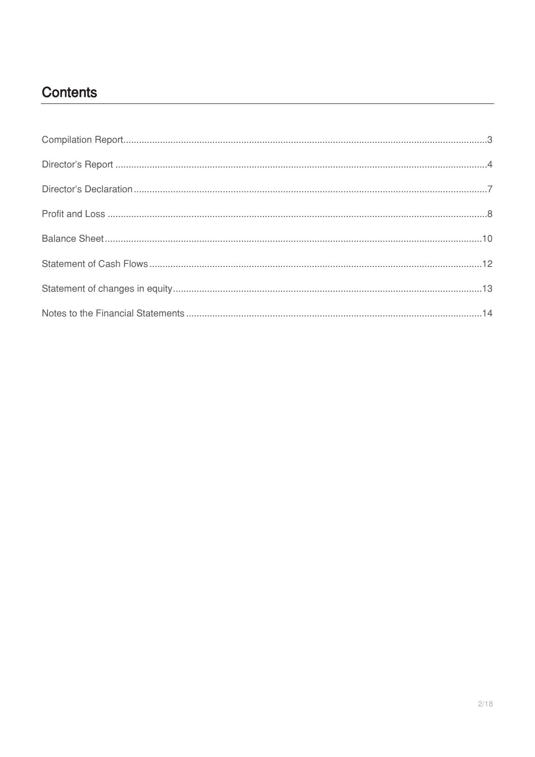## **Contents**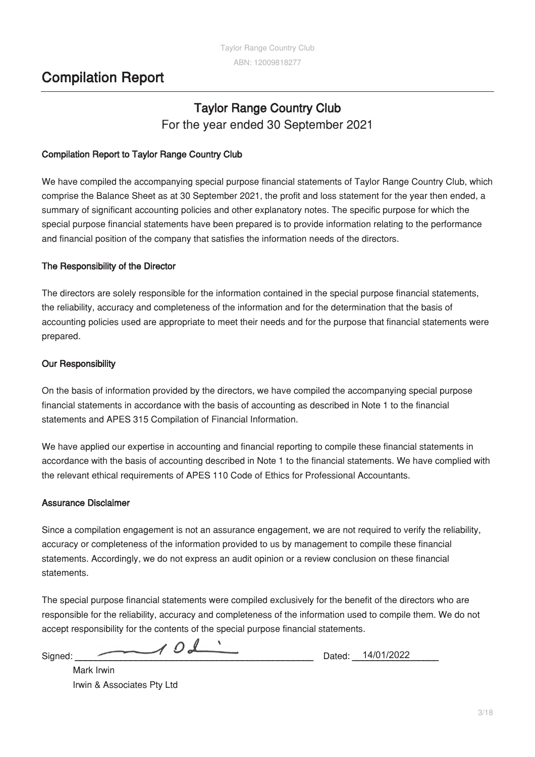## **Compilation Report**

## **Taylor Range Country Club** For the year ended 30 September 2021

### **Compilation Report to Taylor Range Country Club**

We have compiled the accompanying special purpose financial statements of Taylor Range Country Club, which comprise the Balance Sheet as at 30 September 2021, the profit and loss statement for the year then ended, a summary of significant accounting policies and other explanatory notes. The specific purpose for which the special purpose financial statements have been prepared is to provide information relating to the performance and financial position of the company that satisfies the information needs of the directors.

### **The Responsibility of the Director**

The directors are solely responsible for the information contained in the special purpose financial statements, the reliability, accuracy and completeness of the information and for the determination that the basis of accounting policies used are appropriate to meet their needs and for the purpose that financial statements were prepared.

### **Our Responsibility**

On the basis of information provided by the directors, we have compiled the accompanying special purpose financial statements in accordance with the basis of accounting as described in Note 1 to the financial statements and APES 315 Compilation of Financial Information.

We have applied our expertise in accounting and financial reporting to compile these financial statements in accordance with the basis of accounting described in Note 1 to the financial statements. We have complied with the relevant ethical requirements of APES 110 Code of Ethics for Professional Accountants.

### **Assurance Disclaimer**

Since a compilation engagement is not an assurance engagement, we are not required to verify the reliability, accuracy or completeness of the information provided to us by management to compile these financial statements. Accordingly, we do not express an audit opinion or a review conclusion on these financial statements.

The special purpose financial statements were compiled exclusively for the benefit of the directors who are responsible for the reliability, accuracy and completeness of the information used to compile them. We do not accept responsibility for the contents of the special purpose financial statements.

Signed: **\_\_\_\_\_\_\_\_\_\_\_\_\_\_\_\_\_\_\_\_\_\_\_\_\_\_\_\_\_\_\_\_\_\_\_\_\_\_\_\_\_\_\_\_\_\_\_** Dated: **\_\_\_\_\_\_\_\_\_\_\_\_\_\_\_\_\_** 14/01/2022

Mark Irwin Irwin & Associates Pty Ltd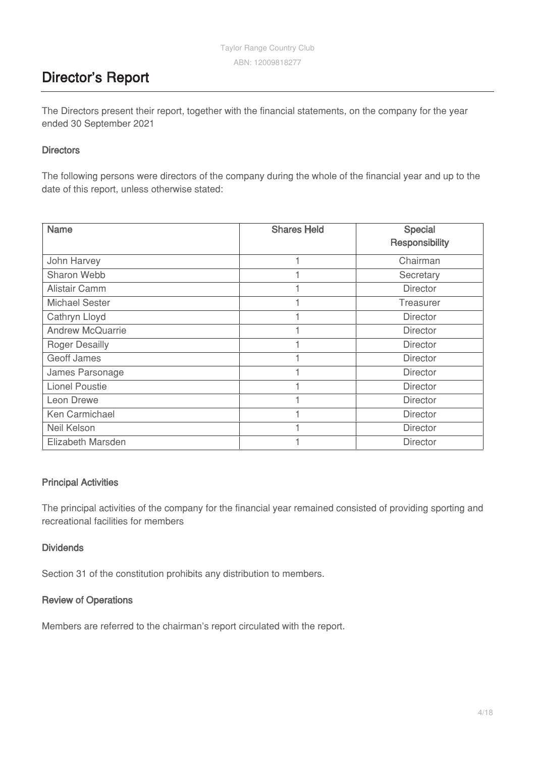## **Director's Report**

The Directors present their report, together with the financial statements, on the company for the year ended 30 September 2021

### **Directors**

The following persons were directors of the company during the whole of the financial year and up to the date of this report, unless otherwise stated:

| <b>Name</b>             | <b>Shares Held</b> | Special<br>Responsibility |
|-------------------------|--------------------|---------------------------|
| John Harvey             |                    | Chairman                  |
| Sharon Webb             |                    | Secretary                 |
| Alistair Camm           |                    | Director                  |
| <b>Michael Sester</b>   |                    | Treasurer                 |
| Cathryn Lloyd           |                    | <b>Director</b>           |
| <b>Andrew McQuarrie</b> |                    | <b>Director</b>           |
| <b>Roger Desailly</b>   |                    | <b>Director</b>           |
| <b>Geoff James</b>      |                    | <b>Director</b>           |
| James Parsonage         |                    | <b>Director</b>           |
| <b>Lionel Poustie</b>   |                    | <b>Director</b>           |
| Leon Drewe              |                    | <b>Director</b>           |
| Ken Carmichael          |                    | <b>Director</b>           |
| Neil Kelson             |                    | <b>Director</b>           |
| Elizabeth Marsden       |                    | <b>Director</b>           |

### **Principal Activities**

The principal activities of the company for the financial year remained consisted of providing sporting and recreational facilities for members

### **Dividends**

Section 31 of the constitution prohibits any distribution to members.

### **Review of Operations**

Members are referred to the chairman's report circulated with the report.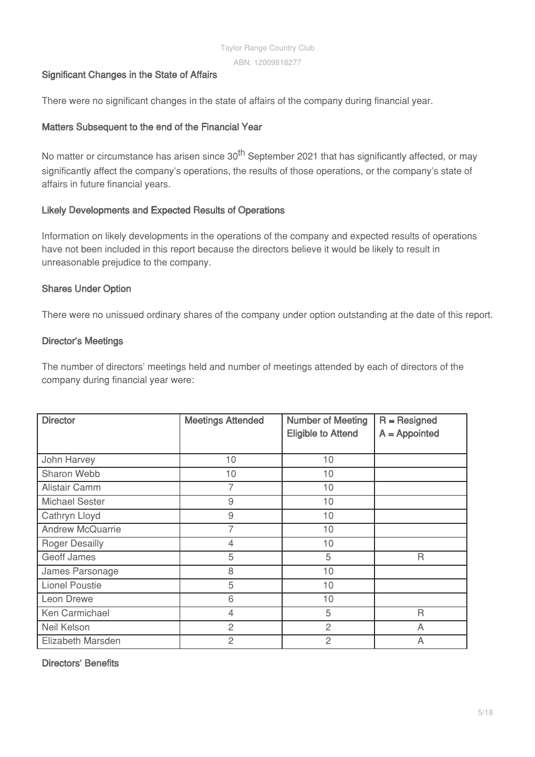### **Significant Changes in the State of Affairs**

There were no significant changes in the state of affairs of the company during financial year.

### **Matters Subsequent to the end of the Financial Year**

No matter or circumstance has arisen since 30<sup>th</sup> September 2021 that has significantly affected, or may significantly affect the company's operations, the results of those operations, or the company's state of affairs in future financial years.

### **Likely Developments and Expected Results of Operations**

Information on likely developments in the operations of the company and expected results of operations have not been included in this report because the directors believe it would be likely to result in unreasonable prejudice to the company.

### **Shares Under Option**

There were no unissued ordinary shares of the company under option outstanding at the date of this report.

### **Director's Meetings**

The number of directors' meetings held and number of meetings attended by each of directors of the company during financial year were:

| <b>Director</b>         | <b>Meetings Attended</b> | <b>Number of Meeting</b><br><b>Eligible to Attend</b> | $R =$ Resigned<br>$A =$ Appointed |
|-------------------------|--------------------------|-------------------------------------------------------|-----------------------------------|
| John Harvey             | 10                       | 10                                                    |                                   |
| Sharon Webb             | 10                       | 10                                                    |                                   |
| Alistair Camm           | 7                        | 10                                                    |                                   |
| <b>Michael Sester</b>   | 9                        | 10                                                    |                                   |
| Cathryn Lloyd           | 9                        | 10                                                    |                                   |
| <b>Andrew McQuarrie</b> | 7                        | 10                                                    |                                   |
| <b>Roger Desailly</b>   | $\overline{4}$           | 10                                                    |                                   |
| Geoff James             | 5                        | 5                                                     | $\mathsf{R}$                      |
| James Parsonage         | 8                        | 10                                                    |                                   |
| <b>Lionel Poustie</b>   | 5                        | 10                                                    |                                   |
| Leon Drewe              | 6                        | 10                                                    |                                   |
| Ken Carmichael          | $\overline{4}$           | 5                                                     | R                                 |
| Neil Kelson             | $\overline{c}$           | $\overline{c}$                                        | A                                 |
| Elizabeth Marsden       | $\overline{c}$           | $\overline{c}$                                        | A                                 |

**Directors' Benefits**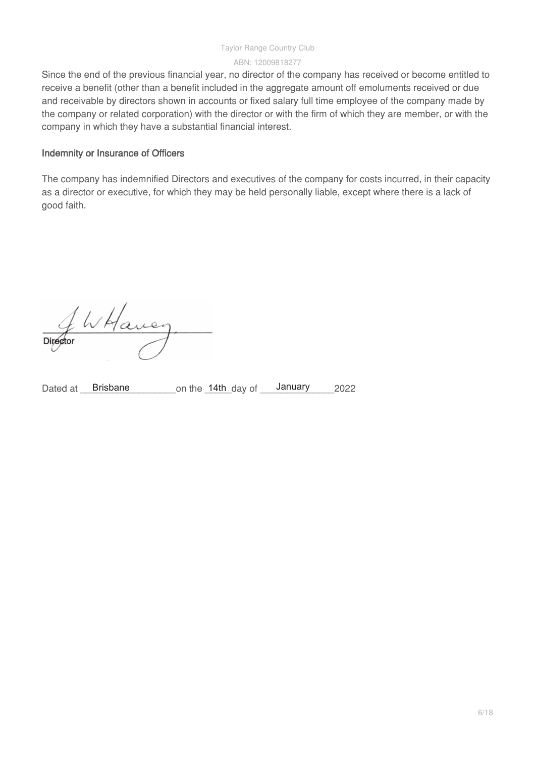#### Taylor Range Country Club

#### ABN: 12009818277

Since the end of the previous financial year, no director of the company has received or become entitled to receive a benefit (other than a benefit included in the aggregate amount off emoluments received or due and receivable by directors shown in accounts or fixed salary full time employee of the company made by the company or related corporation) with the director or with the firm of which they are member, or with the company in which they have a substantial financial interest.

### **Indemnity or Insurance of Officers**

The company has indemnified Directors and executives of the company for costs incurred, in their capacity as a director or executive, for which they may be held personally liable, except where there is a lack of good faith.

Have

Dated at Brisbane on the 14th day of January 2022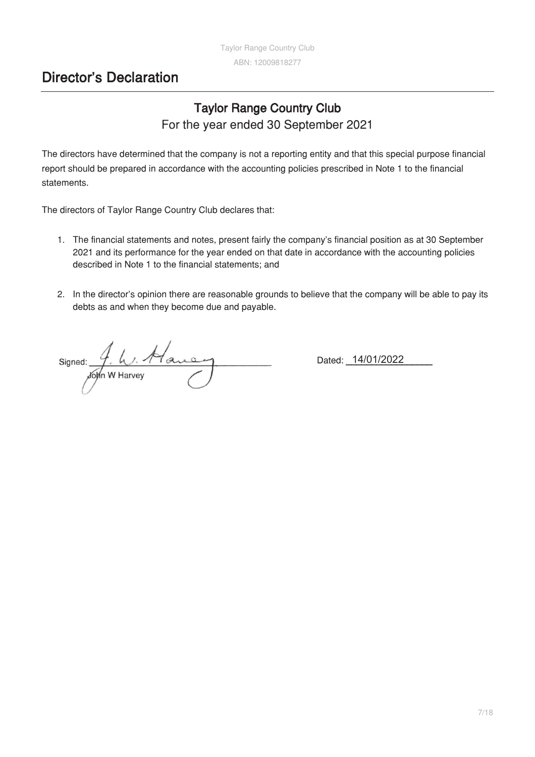## **Director's Declaration**

## **Taylor Range Country Club** For the year ended 30 September 2021

The directors have determined that the company is not a reporting entity and that this special purpose financial report should be prepared in accordance with the accounting policies prescribed in Note 1 to the financial statements.

The directors of Taylor Range Country Club declares that:

- The financial statements and notes, present fairly the company's financial position as at 30 September 2021 and its performance for the year ended on that date in accordance with the accounting policies described in Note 1 to the financial statements; and
- In the director's opinion there are reasonable grounds to believe that the company will be able to pay its debts as and when they become due and payable.

Signed: Tar  $\frac{4}{\sqrt{2}}$  by  $\frac{1}{\sqrt{2}}$ 

Dated: **\_\_**14/01/2022 **\_\_\_\_\_\_\_\_\_\_\_\_\_\_\_**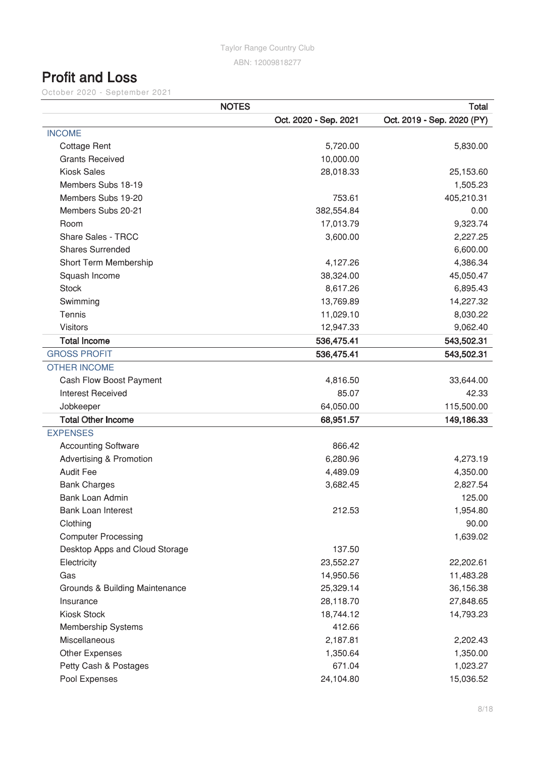## **Profit and Loss**

October 2020 - September 2021

|                                    | <b>NOTES</b>          | <b>Total</b>               |
|------------------------------------|-----------------------|----------------------------|
|                                    | Oct. 2020 - Sep. 2021 | Oct. 2019 - Sep. 2020 (PY) |
| <b>INCOME</b>                      |                       |                            |
| <b>Cottage Rent</b>                | 5,720.00              | 5,830.00                   |
| <b>Grants Received</b>             | 10,000.00             |                            |
| <b>Kiosk Sales</b>                 | 28,018.33             | 25,153.60                  |
| Members Subs 18-19                 |                       | 1,505.23                   |
| Members Subs 19-20                 | 753.61                | 405,210.31                 |
| Members Subs 20-21                 | 382,554.84            | 0.00                       |
| Room                               | 17,013.79             | 9,323.74                   |
| Share Sales - TRCC                 | 3,600.00              | 2,227.25                   |
| <b>Shares Surrended</b>            |                       | 6,600.00                   |
| Short Term Membership              | 4,127.26              | 4,386.34                   |
| Squash Income                      | 38,324.00             | 45,050.47                  |
| <b>Stock</b>                       | 8,617.26              | 6,895.43                   |
| Swimming                           | 13,769.89             | 14,227.32                  |
| Tennis                             | 11,029.10             | 8,030.22                   |
| <b>Visitors</b>                    | 12,947.33             | 9,062.40                   |
| <b>Total Income</b>                | 536,475.41            | 543,502.31                 |
| <b>GROSS PROFIT</b>                | 536,475.41            | 543,502.31                 |
| <b>OTHER INCOME</b>                |                       |                            |
| Cash Flow Boost Payment            | 4,816.50              | 33,644.00                  |
| <b>Interest Received</b>           | 85.07                 | 42.33                      |
| Jobkeeper                          | 64,050.00             | 115,500.00                 |
| <b>Total Other Income</b>          | 68,951.57             | 149,186.33                 |
| <b>EXPENSES</b>                    |                       |                            |
| <b>Accounting Software</b>         | 866.42                |                            |
| <b>Advertising &amp; Promotion</b> | 6,280.96              | 4,273.19                   |
| <b>Audit Fee</b>                   | 4,489.09              | 4,350.00                   |
| <b>Bank Charges</b>                | 3,682.45              | 2,827.54                   |
| <b>Bank Loan Admin</b>             |                       | 125.00                     |
| <b>Bank Loan Interest</b>          | 212.53                | 1,954.80                   |
| Clothing                           |                       | 90.00                      |
| <b>Computer Processing</b>         |                       | 1,639.02                   |
| Desktop Apps and Cloud Storage     | 137.50                |                            |
| Electricity                        | 23,552.27             | 22,202.61                  |
| Gas                                | 14,950.56             | 11,483.28                  |
| Grounds & Building Maintenance     | 25,329.14             | 36,156.38                  |
| Insurance                          | 28,118.70             | 27,848.65                  |
| Kiosk Stock                        | 18,744.12             | 14,793.23                  |
| <b>Membership Systems</b>          | 412.66                |                            |
| Miscellaneous                      | 2,187.81              | 2,202.43                   |
| Other Expenses                     | 1,350.64              | 1,350.00                   |
| Petty Cash & Postages              | 671.04                | 1,023.27                   |
| Pool Expenses                      | 24,104.80             | 15,036.52                  |
|                                    |                       |                            |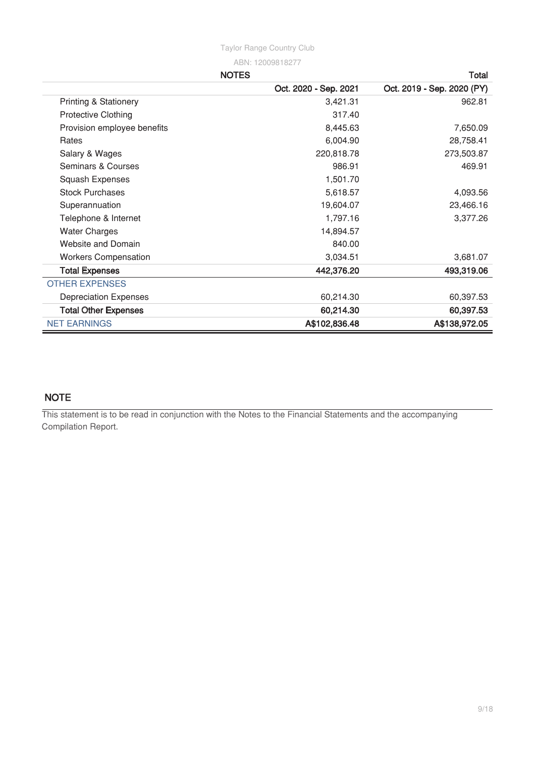**NOTES Total**

|                                  | Oct. 2020 - Sep. 2021 | Oct. 2019 - Sep. 2020 (PY) |
|----------------------------------|-----------------------|----------------------------|
| <b>Printing &amp; Stationery</b> | 3,421.31              | 962.81                     |
| <b>Protective Clothing</b>       | 317.40                |                            |
| Provision employee benefits      | 8,445.63              | 7,650.09                   |
| Rates                            | 6,004.90              | 28,758.41                  |
| Salary & Wages                   | 220,818.78            | 273,503.87                 |
| Seminars & Courses               | 986.91                | 469.91                     |
| Squash Expenses                  | 1,501.70              |                            |
| <b>Stock Purchases</b>           | 5,618.57              | 4,093.56                   |
| Superannuation                   | 19,604.07             | 23,466.16                  |
| Telephone & Internet             | 1,797.16              | 3,377.26                   |
| <b>Water Charges</b>             | 14,894.57             |                            |
| <b>Website and Domain</b>        | 840.00                |                            |
| <b>Workers Compensation</b>      | 3,034.51              | 3,681.07                   |
| <b>Total Expenses</b>            | 442,376.20            | 493,319.06                 |
| <b>OTHER EXPENSES</b>            |                       |                            |
| <b>Depreciation Expenses</b>     | 60,214.30             | 60,397.53                  |
| <b>Total Other Expenses</b>      | 60,214.30             | 60,397.53                  |
| <b>NET EARNINGS</b>              | A\$102,836.48         | A\$138,972.05              |

## **NOTE**

This statement is to be read in conjunction with the Notes to the Financial Statements and the accompanying Compilation Report.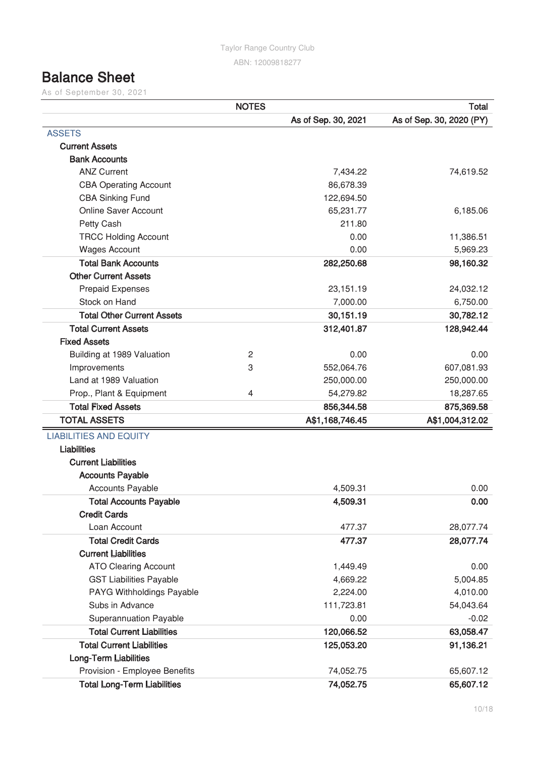## **Balance Sheet**

As of September 30, 2021

|                                    | <b>NOTES</b>   |                     | <b>Total</b>             |
|------------------------------------|----------------|---------------------|--------------------------|
|                                    |                | As of Sep. 30, 2021 | As of Sep. 30, 2020 (PY) |
| <b>ASSETS</b>                      |                |                     |                          |
| <b>Current Assets</b>              |                |                     |                          |
| <b>Bank Accounts</b>               |                |                     |                          |
| <b>ANZ Current</b>                 |                | 7,434.22            | 74,619.52                |
| <b>CBA Operating Account</b>       |                | 86,678.39           |                          |
| <b>CBA Sinking Fund</b>            |                | 122,694.50          |                          |
| <b>Online Saver Account</b>        |                | 65,231.77           | 6,185.06                 |
| Petty Cash                         |                | 211.80              |                          |
| <b>TRCC Holding Account</b>        |                | 0.00                | 11,386.51                |
| <b>Wages Account</b>               |                | 0.00                | 5,969.23                 |
| <b>Total Bank Accounts</b>         |                | 282,250.68          | 98,160.32                |
| <b>Other Current Assets</b>        |                |                     |                          |
| <b>Prepaid Expenses</b>            |                | 23,151.19           | 24,032.12                |
| Stock on Hand                      |                | 7,000.00            | 6,750.00                 |
| <b>Total Other Current Assets</b>  |                | 30,151.19           | 30,782.12                |
| <b>Total Current Assets</b>        |                | 312,401.87          | 128,942.44               |
| <b>Fixed Assets</b>                |                |                     |                          |
| Building at 1989 Valuation         | $\overline{2}$ | 0.00                | 0.00                     |
| Improvements                       | 3              | 552,064.76          | 607,081.93               |
| Land at 1989 Valuation             |                | 250,000.00          | 250,000.00               |
| Prop., Plant & Equipment           | 4              | 54,279.82           | 18,287.65                |
| <b>Total Fixed Assets</b>          |                | 856,344.58          | 875,369.58               |
| <b>TOTAL ASSETS</b>                |                | A\$1,168,746.45     | A\$1,004,312.02          |
| <b>LIABILITIES AND EQUITY</b>      |                |                     |                          |
| <b>Liabilities</b>                 |                |                     |                          |
| <b>Current Liabilities</b>         |                |                     |                          |
| <b>Accounts Payable</b>            |                |                     |                          |
| <b>Accounts Payable</b>            |                | 4,509.31            | 0.00                     |
| <b>Total Accounts Payable</b>      |                | 4,509.31            | 0.00                     |
| <b>Credit Cards</b>                |                |                     |                          |
| Loan Account                       |                | 477.37              | 28,077.74                |
| <b>Total Credit Cards</b>          |                | 477.37              | 28,077.74                |
| <b>Current Liabilities</b>         |                |                     |                          |
| <b>ATO Clearing Account</b>        |                | 1,449.49            | 0.00                     |
| <b>GST Liabilities Payable</b>     |                | 4,669.22            | 5,004.85                 |
| PAYG Withholdings Payable          |                | 2,224.00            | 4,010.00                 |
| Subs in Advance                    |                | 111,723.81          | 54,043.64                |
| Superannuation Payable             |                | 0.00                | $-0.02$                  |
| <b>Total Current Liabilities</b>   |                | 120,066.52          | 63,058.47                |
| <b>Total Current Liabilities</b>   |                | 125,053.20          | 91,136.21                |
| <b>Long-Term Liabilities</b>       |                |                     |                          |
| Provision - Employee Benefits      |                | 74,052.75           | 65,607.12                |
| <b>Total Long-Term Liabilities</b> |                | 74,052.75           | 65,607.12                |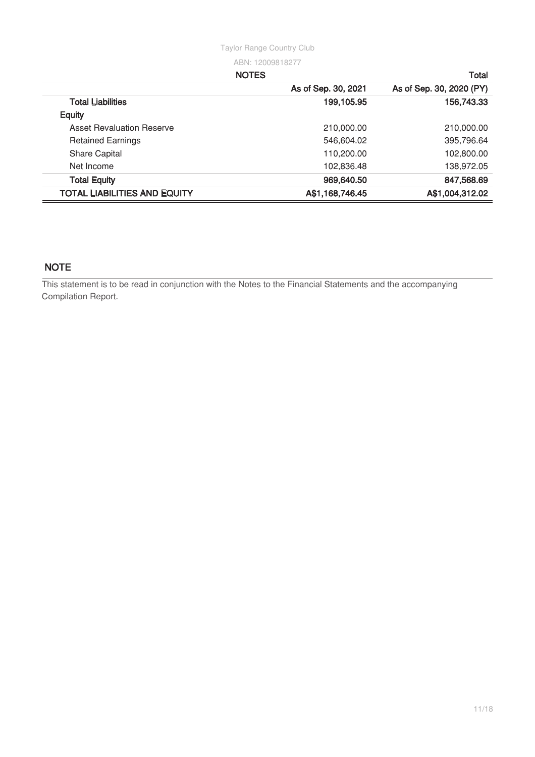#### **NOTES Total**

|                                     | As of Sep. 30, 2021 | As of Sep. 30, 2020 (PY) |
|-------------------------------------|---------------------|--------------------------|
| <b>Total Liabilities</b>            | 199,105.95          | 156,743.33               |
| <b>Equity</b>                       |                     |                          |
| <b>Asset Revaluation Reserve</b>    | 210,000.00          | 210,000.00               |
| <b>Retained Earnings</b>            | 546,604.02          | 395,796.64               |
| <b>Share Capital</b>                | 110,200.00          | 102,800.00               |
| Net Income                          | 102,836.48          | 138,972.05               |
| <b>Total Equity</b>                 | 969,640.50          | 847,568.69               |
| <b>TOTAL LIABILITIES AND EQUITY</b> | A\$1,168,746.45     | A\$1,004,312.02          |

## **NOTE**

This statement is to be read in conjunction with the Notes to the Financial Statements and the accompanying Compilation Report.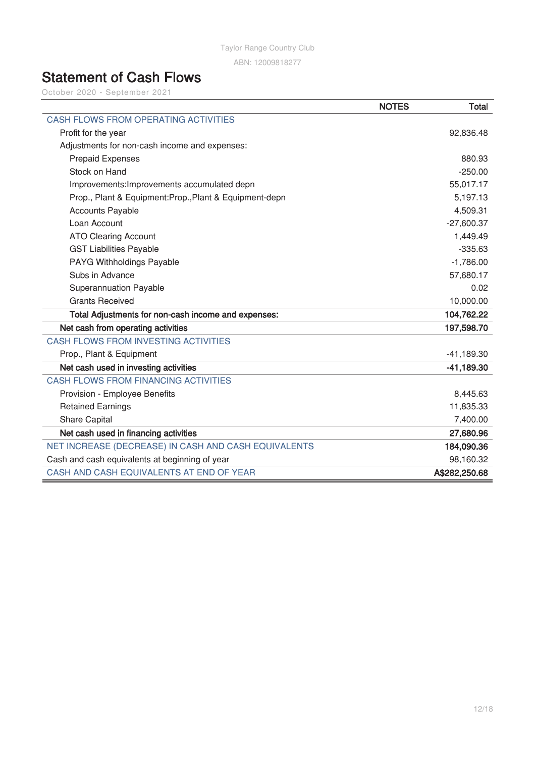Taylor Range Country Club

ABN: 12009818277

## **Statement of Cash Flows**

October 2020 - September 2021

|                                                         | <b>NOTES</b> | Total         |
|---------------------------------------------------------|--------------|---------------|
| <b>CASH FLOWS FROM OPERATING ACTIVITIES</b>             |              |               |
| Profit for the year                                     |              | 92,836.48     |
| Adjustments for non-cash income and expenses:           |              |               |
| <b>Prepaid Expenses</b>                                 |              | 880.93        |
| Stock on Hand                                           |              | $-250.00$     |
| Improvements: Improvements accumulated depn             |              | 55,017.17     |
| Prop., Plant & Equipment: Prop., Plant & Equipment-depn |              | 5,197.13      |
| <b>Accounts Payable</b>                                 |              | 4,509.31      |
| Loan Account                                            |              | $-27,600.37$  |
| <b>ATO Clearing Account</b>                             |              | 1,449.49      |
| <b>GST Liabilities Payable</b>                          |              | $-335.63$     |
| PAYG Withholdings Payable                               |              | $-1,786.00$   |
| Subs in Advance                                         |              | 57,680.17     |
| <b>Superannuation Payable</b>                           |              | 0.02          |
| <b>Grants Received</b>                                  |              | 10,000.00     |
| Total Adjustments for non-cash income and expenses:     |              | 104,762.22    |
| Net cash from operating activities                      |              | 197,598.70    |
| <b>CASH FLOWS FROM INVESTING ACTIVITIES</b>             |              |               |
| Prop., Plant & Equipment                                |              | $-41,189.30$  |
| Net cash used in investing activities                   |              | $-41,189.30$  |
| <b>CASH FLOWS FROM FINANCING ACTIVITIES</b>             |              |               |
| Provision - Employee Benefits                           |              | 8,445.63      |
| <b>Retained Earnings</b>                                |              | 11,835.33     |
| <b>Share Capital</b>                                    |              | 7,400.00      |
| Net cash used in financing activities                   |              | 27,680.96     |
| NET INCREASE (DECREASE) IN CASH AND CASH EQUIVALENTS    |              | 184,090.36    |
| Cash and cash equivalents at beginning of year          |              | 98,160.32     |
| CASH AND CASH EQUIVALENTS AT END OF YEAR                |              | A\$282,250.68 |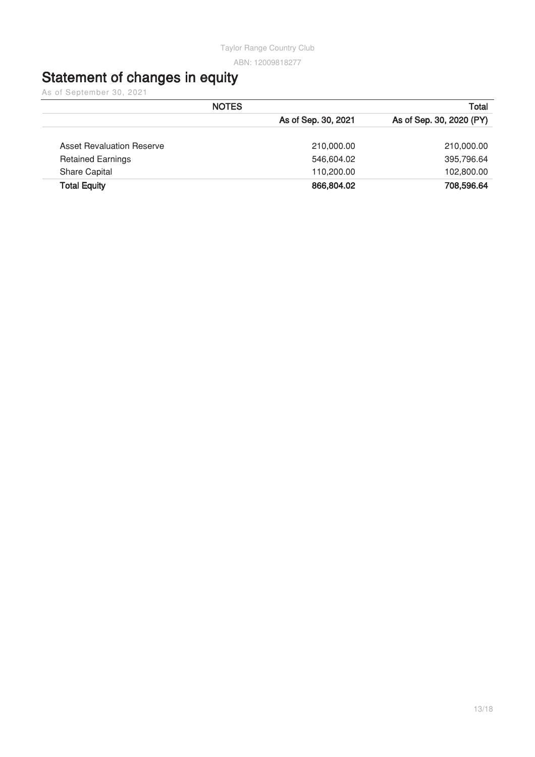## **Statement of changes in equity**

As of September 30, 2021

|                                  | <b>NOTES</b>        | Total                    |
|----------------------------------|---------------------|--------------------------|
|                                  | As of Sep. 30, 2021 | As of Sep. 30, 2020 (PY) |
| <b>Asset Revaluation Reserve</b> | 210,000.00          | 210,000.00               |
| <b>Retained Earnings</b>         | 546,604.02          | 395,796.64               |
| <b>Share Capital</b>             | 110,200.00          | 102,800.00               |
| <b>Total Equity</b>              | 866,804.02          | 708,596.64               |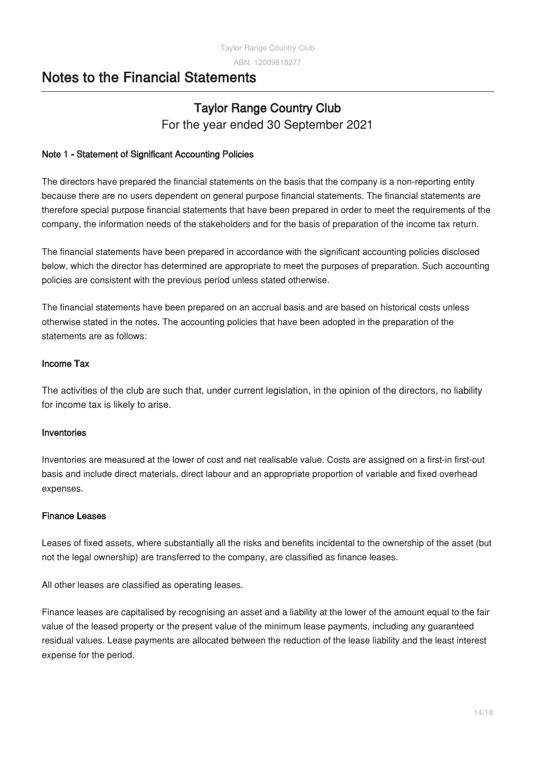## **Notes to the Financial Statements**

## **Taylor Range Country Club** For the year ended 30 September 2021

## **Note 1 - Statement of Significant Accounting Policies**

The directors have prepared the financial statements on the basis that the company is a non-reporting entity because there are no users dependent on general purpose financial statements. The financial statements are therefore special purpose financial statements that have been prepared in order to meet the requirements of the company, the information needs of the stakeholders and for the basis of preparation of the income tax return.

The financial statements have been prepared in accordance with the significant accounting policies disclosed below, which the director has determined are appropriate to meet the purposes of preparation. Such accounting policies are consistent with the previous period unless stated otherwise.

The financial statements have been prepared on an accrual basis and are based on historical costs unless otherwise stated in the notes. The accounting policies that have been adopted in the preparation of the statements are as follows:

## **Income Tax**

The activities of the club are such that, under current legislation, in the opinion of the directors, no liability for income tax is likely to arise.

## **Inventories**

Inventories are measured at the lower of cost and net realisable value. Costs are assigned on a first-in first-out basis and include direct materials, direct labour and an appropriate proportion of variable and fixed overhead expenses.

## **Finance Leases**

Leases of fixed assets, where substantially all the risks and benefits incidental to the ownership of the asset (but not the legal ownership) are transferred to the company, are classified as finance leases.

All other leases are classified as operating leases.

Finance leases are capitalised by recognising an asset and a liability at the lower of the amount equal to the fair value of the leased property or the present value of the minimum lease payments, including any guaranteed residual values. Lease payments are allocated between the reduction of the lease liability and the least interest expense for the period.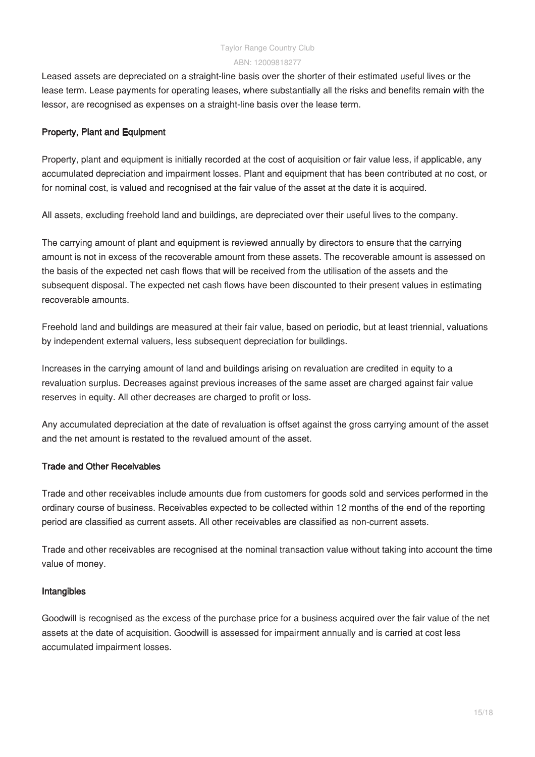Leased assets are depreciated on a straight-line basis over the shorter of their estimated useful lives or the lease term. Lease payments for operating leases, where substantially all the risks and benefits remain with the lessor, are recognised as expenses on a straight-line basis over the lease term.

#### **Property, Plant and Equipment**

Property, plant and equipment is initially recorded at the cost of acquisition or fair value less, if applicable, any accumulated depreciation and impairment losses. Plant and equipment that has been contributed at no cost, or for nominal cost, is valued and recognised at the fair value of the asset at the date it is acquired.

All assets, excluding freehold land and buildings, are depreciated over their useful lives to the company.

The carrying amount of plant and equipment is reviewed annually by directors to ensure that the carrying amount is not in excess of the recoverable amount from these assets. The recoverable amount is assessed on the basis of the expected net cash flows that will be received from the utilisation of the assets and the subsequent disposal. The expected net cash flows have been discounted to their present values in estimating recoverable amounts.

Freehold land and buildings are measured at their fair value, based on periodic, but at least triennial, valuations by independent external valuers, less subsequent depreciation for buildings.

Increases in the carrying amount of land and buildings arising on revaluation are credited in equity to a revaluation surplus. Decreases against previous increases of the same asset are charged against fair value reserves in equity. All other decreases are charged to profit or loss.

Any accumulated depreciation at the date of revaluation is offset against the gross carrying amount of the asset and the net amount is restated to the revalued amount of the asset.

### **Trade and Other Receivables**

Trade and other receivables include amounts due from customers for goods sold and services performed in the ordinary course of business. Receivables expected to be collected within 12 months of the end of the reporting period are classified as current assets. All other receivables are classified as non-current assets.

Trade and other receivables are recognised at the nominal transaction value without taking into account the time value of money.

#### **Intangibles**

Goodwill is recognised as the excess of the purchase price for a business acquired over the fair value of the net assets at the date of acquisition. Goodwill is assessed for impairment annually and is carried at cost less accumulated impairment losses.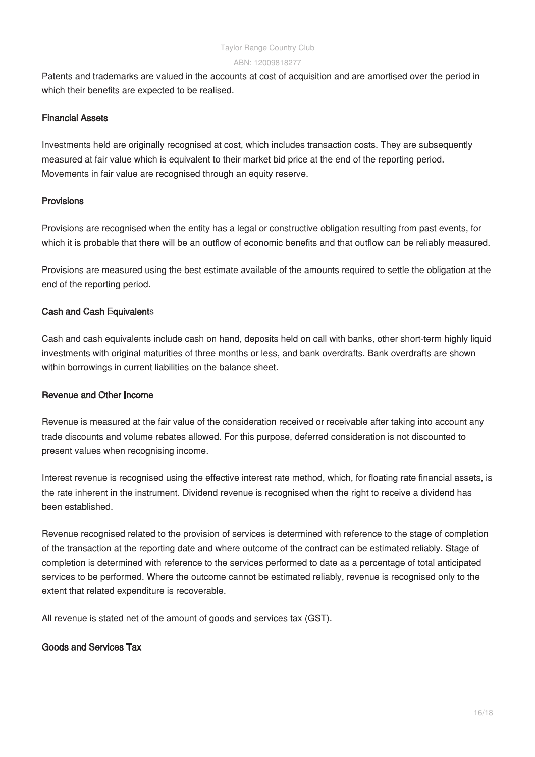Patents and trademarks are valued in the accounts at cost of acquisition and are amortised over the period in which their benefits are expected to be realised.

#### **Financial Assets**

Investments held are originally recognised at cost, which includes transaction costs. They are subsequently measured at fair value which is equivalent to their market bid price at the end of the reporting period. Movements in fair value are recognised through an equity reserve.

#### **Provisions**

Provisions are recognised when the entity has a legal or constructive obligation resulting from past events, for which it is probable that there will be an outflow of economic benefits and that outflow can be reliably measured.

Provisions are measured using the best estimate available of the amounts required to settle the obligation at the end of the reporting period.

#### **Cash and Cash Equivalent**s

Cash and cash equivalents include cash on hand, deposits held on call with banks, other short-term highly liquid investments with original maturities of three months or less, and bank overdrafts. Bank overdrafts are shown within borrowings in current liabilities on the balance sheet.

#### **Revenue and Other Income**

Revenue is measured at the fair value of the consideration received or receivable after taking into account any trade discounts and volume rebates allowed. For this purpose, deferred consideration is not discounted to present values when recognising income.

Interest revenue is recognised using the effective interest rate method, which, for floating rate financial assets, is the rate inherent in the instrument. Dividend revenue is recognised when the right to receive a dividend has been established.

Revenue recognised related to the provision of services is determined with reference to the stage of completion of the transaction at the reporting date and where outcome of the contract can be estimated reliably. Stage of completion is determined with reference to the services performed to date as a percentage of total anticipated services to be performed. Where the outcome cannot be estimated reliably, revenue is recognised only to the extent that related expenditure is recoverable.

All revenue is stated net of the amount of goods and services tax (GST).

### **Goods and Services Tax**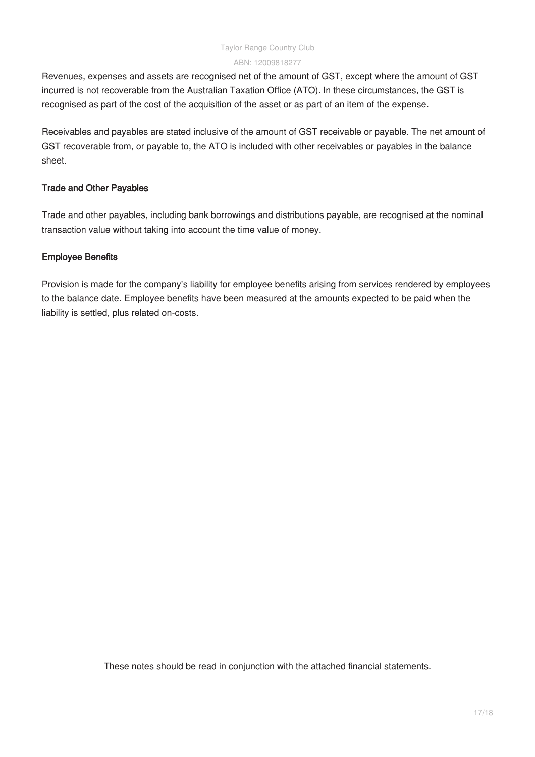Revenues, expenses and assets are recognised net of the amount of GST, except where the amount of GST incurred is not recoverable from the Australian Taxation Office (ATO). In these circumstances, the GST is recognised as part of the cost of the acquisition of the asset or as part of an item of the expense.

Receivables and payables are stated inclusive of the amount of GST receivable or payable. The net amount of GST recoverable from, or payable to, the ATO is included with other receivables or payables in the balance sheet.

#### **Trade and Other Payables**

Trade and other payables, including bank borrowings and distributions payable, are recognised at the nominal transaction value without taking into account the time value of money.

#### **Employee Benefits**

Provision is made for the company's liability for employee benefits arising from services rendered by employees to the balance date. Employee benefits have been measured at the amounts expected to be paid when the liability is settled, plus related on-costs.

These notes should be read in conjunction with the attached financial statements.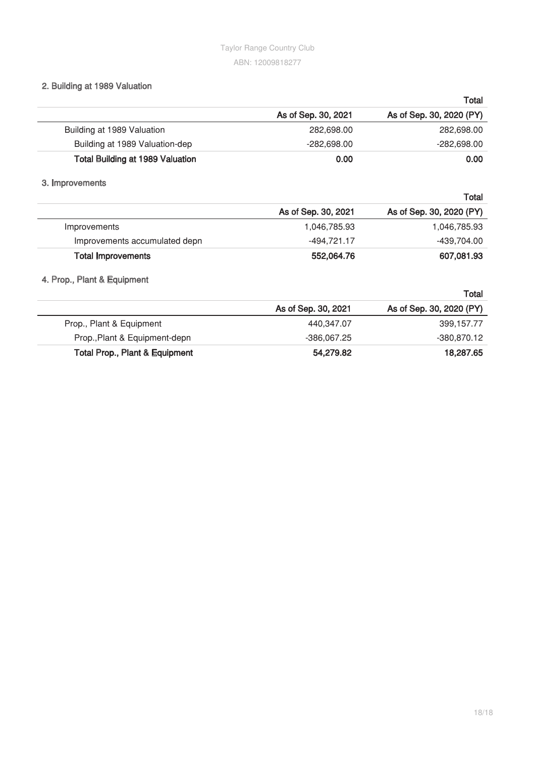## **2. Building at 1989 Valuation**

|                                         |                     | Total                    |
|-----------------------------------------|---------------------|--------------------------|
|                                         | As of Sep. 30, 2021 | As of Sep. 30, 2020 (PY) |
| Building at 1989 Valuation              | 282,698.00          | 282,698.00               |
| Building at 1989 Valuation-dep          | $-282,698.00$       | -282,698.00              |
| <b>Total Building at 1989 Valuation</b> | 0.00                | 0.00                     |

### **3. Improvements**

|                               |                     | Total                    |
|-------------------------------|---------------------|--------------------------|
|                               | As of Sep. 30, 2021 | As of Sep. 30, 2020 (PY) |
| Improvements                  | 1,046,785.93        | 1,046,785.93             |
| Improvements accumulated depn | -494.721.17         | -439,704.00              |
| <b>Total Improvements</b>     | 552,064.76          | 607,081.93               |

## **4. Prop., Plant & Equipment**

|                                           |                     | Total                    |
|-------------------------------------------|---------------------|--------------------------|
|                                           | As of Sep. 30, 2021 | As of Sep. 30, 2020 (PY) |
| Prop., Plant & Equipment                  | 440,347.07          | 399,157.77               |
| Prop., Plant & Equipment-depn             | $-386.067.25$       | -380.870.12              |
| <b>Total Prop., Plant &amp; Equipment</b> | 54,279.82           | 18,287.65                |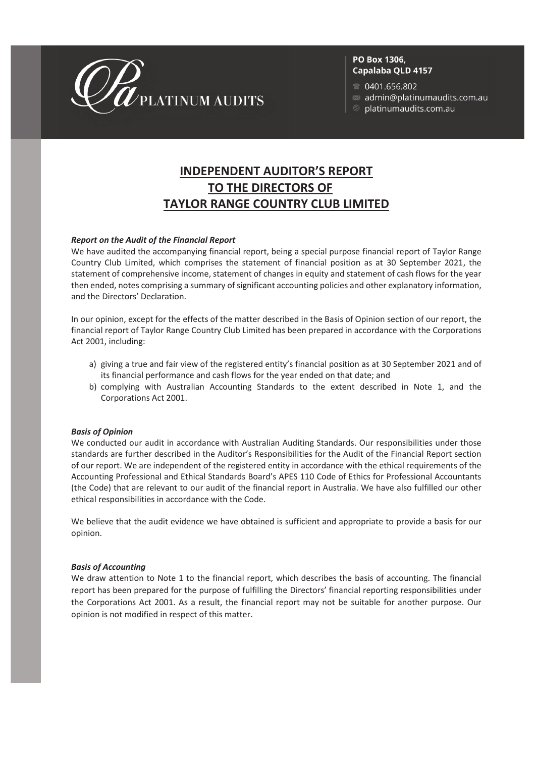

#### PO Box 1306, Capalaba QLD 4157

0401.656.802

- admin@platinumaudits.com.au
- $\otimes$  platinumaudits.com.au

## **INDEPENDENT AUDITOR'S REPORT TO THE DIRECTORS OF TAYLOR RANGE COUNTRY CLUB LIMITED**

#### *Report on the Audit of the Financial Report*

We have audited the accompanying financial report, being a special purpose financial report of Taylor Range Country Club Limited, which comprises the statement of financial position as at 30 September 2021, the statement of comprehensive income, statement of changes in equity and statement of cash flows for the year then ended, notes comprising a summary of significant accounting policies and other explanatory information, and the Directors' Declaration.

In our opinion, except for the effects of the matter described in the Basis of Opinion section of our report, the financial report of Taylor Range Country Club Limited has been prepared in accordance with the Corporations Act 2001, including:

- a) giving a true and fair view of the registered entity's financial position as at 30 September 2021 and of its financial performance and cash flows for the year ended on that date; and
- b) complying with Australian Accounting Standards to the extent described in Note 1, and the Corporations Act 2001.

#### *Basis of Opinion*

We conducted our audit in accordance with Australian Auditing Standards. Our responsibilities under those standards are further described in the Auditor's Responsibilities for the Audit of the Financial Report section of our report. We are independent of the registered entity in accordance with the ethical requirements of the Accounting Professional and Ethical Standards Board's APES 110 Code of Ethics for Professional Accountants (the Code) that are relevant to our audit of the financial report in Australia. We have also fulfilled our other ethical responsibilities in accordance with the Code.

We believe that the audit evidence we have obtained is sufficient and appropriate to provide a basis for our opinion.

#### *Basis of Accounting*

We draw attention to Note 1 to the financial report, which describes the basis of accounting. The financial report has been prepared for the purpose of fulfilling the Directors' financial reporting responsibilities under the Corporations Act 2001. As a result, the financial report may not be suitable for another purpose. Our opinion is not modified in respect of this matter.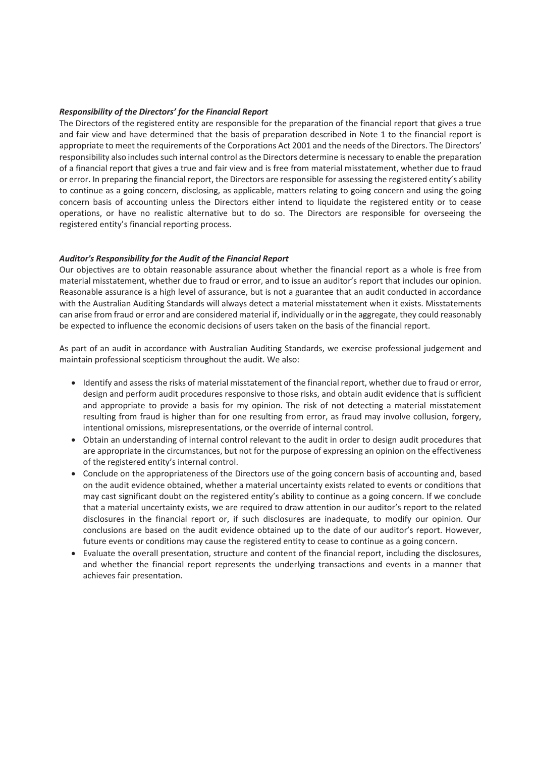#### *Responsibility of the Directors' for the Financial Report*

The Directors of the registered entity are responsible for the preparation of the financial report that gives a true and fair view and have determined that the basis of preparation described in Note 1 to the financial report is appropriate to meet the requirements of the Corporations Act 2001 and the needs of the Directors. The Directors' responsibility also includes such internal control as the Directors determine is necessary to enable the preparation of a financial report that gives a true and fair view and is free from material misstatement, whether due to fraud or error. In preparing the financial report, the Directors are responsible for assessing the registered entity's ability to continue as a going concern, disclosing, as applicable, matters relating to going concern and using the going concern basis of accounting unless the Directors either intend to liquidate the registered entity or to cease operations, or have no realistic alternative but to do so. The Directors are responsible for overseeing the registered entity's financial reporting process.

#### *Auditor's Responsibility for the Audit of the Financial Report*

Our objectives are to obtain reasonable assurance about whether the financial report as a whole is free from material misstatement, whether due to fraud or error, and to issue an auditor's report that includes our opinion. Reasonable assurance is a high level of assurance, but is not a guarantee that an audit conducted in accordance with the Australian Auditing Standards will always detect a material misstatement when it exists. Misstatements can arise from fraud or error and are considered material if, individually or in the aggregate, they could reasonably be expected to influence the economic decisions of users taken on the basis of the financial report.

As part of an audit in accordance with Australian Auditing Standards, we exercise professional judgement and maintain professional scepticism throughout the audit. We also:

- Identify and assess the risks of material misstatement of the financial report, whether due to fraud or error, design and perform audit procedures responsive to those risks, and obtain audit evidence that is sufficient and appropriate to provide a basis for my opinion. The risk of not detecting a material misstatement resulting from fraud is higher than for one resulting from error, as fraud may involve collusion, forgery, intentional omissions, misrepresentations, or the override of internal control.
- · Obtain an understanding of internal control relevant to the audit in order to design audit procedures that are appropriate in the circumstances, but not for the purpose of expressing an opinion on the effectiveness of the registered entity's internal control.
- · Conclude on the appropriateness of the Directors use of the going concern basis of accounting and, based on the audit evidence obtained, whether a material uncertainty exists related to events or conditions that may cast significant doubt on the registered entity's ability to continue as a going concern. If we conclude that a material uncertainty exists, we are required to draw attention in our auditor's report to the related disclosures in the financial report or, if such disclosures are inadequate, to modify our opinion. Our conclusions are based on the audit evidence obtained up to the date of our auditor's report. However, future events or conditions may cause the registered entity to cease to continue as a going concern.
- · Evaluate the overall presentation, structure and content of the financial report, including the disclosures, and whether the financial report represents the underlying transactions and events in a manner that achieves fair presentation.